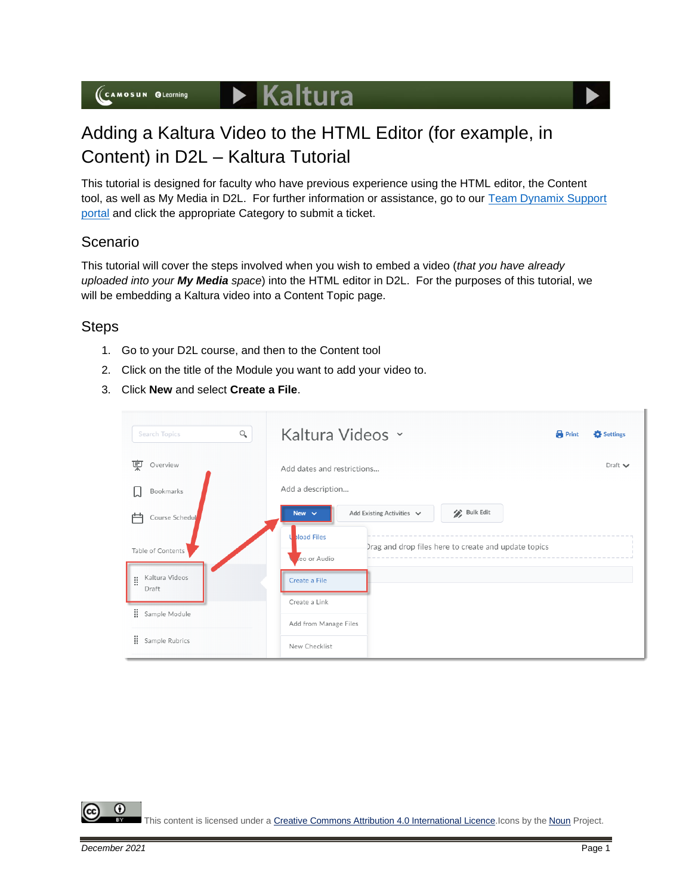

# Adding a Kaltura Video to the HTML Editor (for example, in Content) in D2L – Kaltura Tutorial

This tutorial is designed for faculty who have previous experience using the HTML editor, the Content tool, as well as My Media in D2L. For further information or assistance, go to our Team Dynamix Support [portal](https://camosun.teamdynamix.com/TDClient/67/Portal/Requests/ServiceCatalog?CategoryID=523) and click the appropriate Category to submit a ticket.

### Scenario

This tutorial will cover the steps involved when you wish to embed a video (*that you have already uploaded into your My Media space*) into the HTML editor in D2L. For the purposes of this tutorial, we will be embedding a Kaltura video into a Content Topic page.

### **Steps**

- 1. Go to your D2L course, and then to the Content tool
- 2. Click on the title of the Module you want to add your video to.
- 3. Click **New** and select **Create a File**.

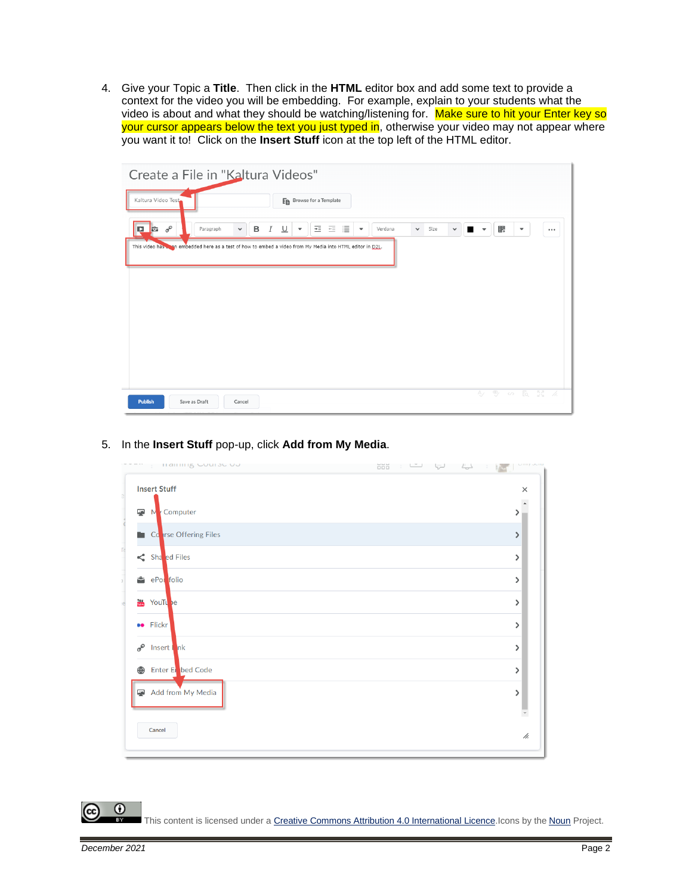4. Give your Topic a **Title**. Then click in the **HTML** editor box and add some text to provide a context for the video you will be embedding. For example, explain to your students what the video is about and what they should be watching/listening for. Make sure to hit your Enter key so your cursor appears below the text you just typed in, otherwise your video may not appear where you want it to! Click on the **Insert Stuff** icon at the top left of the HTML editor.

| Create a File in "Kaltura Videos"                                                                             |                                                                                                                                                          |          |
|---------------------------------------------------------------------------------------------------------------|----------------------------------------------------------------------------------------------------------------------------------------------------------|----------|
| Kaltura Video Test                                                                                            | En Browse for a Template                                                                                                                                 |          |
| $\sigma^{\!\mathcal{O}}$<br><b>B</b> $I \underline{\cup}$<br>p <mark>e</mark><br>Paragraph<br>$\checkmark$    | 小華 召 追り<br>騦<br>Verdana<br>$\blacktriangledown$<br>$\vee$ Size<br>$\overline{\phantom{a}}$<br>$\checkmark$<br>$\blacksquare$<br>$\overline{\phantom{a}}$ | $\cdots$ |
| This video has a small embedded here as a test of how to embed a video from My Media into HTML editor in D2L. |                                                                                                                                                          |          |
|                                                                                                               |                                                                                                                                                          |          |
|                                                                                                               |                                                                                                                                                          |          |
|                                                                                                               |                                                                                                                                                          |          |
|                                                                                                               |                                                                                                                                                          |          |
|                                                                                                               |                                                                                                                                                          |          |
| <b>Publish</b><br>Save as Draft<br>Cancel                                                                     | 4 % 5 民談名                                                                                                                                                |          |

#### maninig Course ou **Insert Stuff**  $\times$  $\overline{a}$ Computer  $\overline{\mathbf{r}}$  $\rightarrow$ rse Offering Files  $\blacksquare$  Co  $\rightarrow$  $\leq$  Sha ed Files  $\,$  $e^{\theta}$  ePoi folio  $\rightarrow$ **TOM** YouT  $\rightarrow$ **ee** Flick  $\rightarrow$ S Insert lnk  $\,$ bed Code **Enter El**  $\,$ Add from My Media C)  $\rightarrow$ Cancel /ı.

### 5. In the **Insert Stuff** pop-up, click **Add from My Media**.

This content is licensed under [a Creative Commons Attribution 4.0 International Licence.I](https://creativecommons.org/licenses/by/4.0/)cons by the [Noun](https://creativecommons.org/website-icons/) Project.

 $\odot$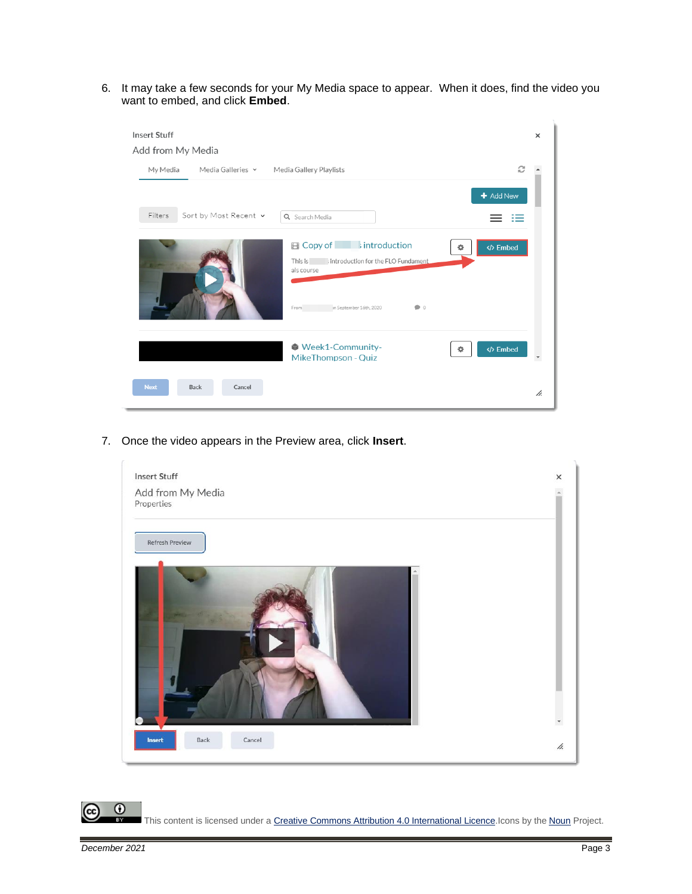6. It may take a few seconds for your My Media space to appear. When it does, find the video you want to embed, and click **Embed**.



7. Once the video appears in the Preview area, click **Insert**.



This content is licensed under [a Creative Commons Attribution 4.0 International Licence.I](https://creativecommons.org/licenses/by/4.0/)cons by the [Noun](https://creativecommons.org/website-icons/) Project.

 $\odot$